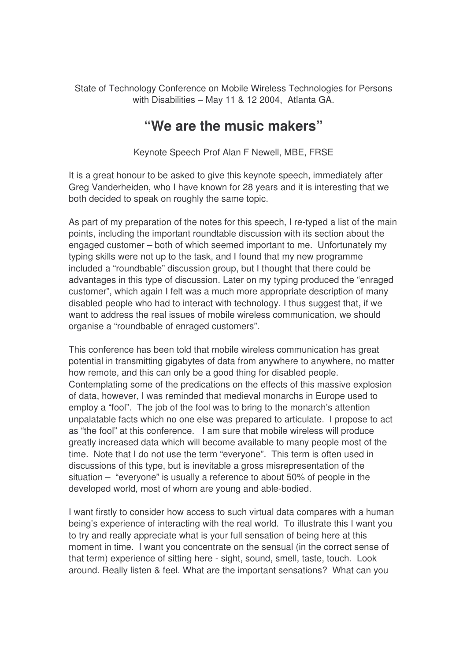State of Technology Conference on Mobile Wireless Technologies for Persons with Disabilities – May 11 & 12 2004, Atlanta GA.

## **"We are the music makers"**

Keynote Speech Prof Alan F Newell, MBE, FRSE

It is a great honour to be asked to give this keynote speech, immediately after Greg Vanderheiden, who I have known for 28 years and it is interesting that we both decided to speak on roughly the same topic.

As part of my preparation of the notes for this speech, I re-typed a list of the main points, including the important roundtable discussion with its section about the engaged customer – both of which seemed important to me. Unfortunately my typing skills were not up to the task, and I found that my new programme included a "roundbable" discussion group, but I thought that there could be advantages in this type of discussion. Later on my typing produced the "enraged customer", which again I felt was a much more appropriate description of many disabled people who had to interact with technology. I thus suggest that, if we want to address the real issues of mobile wireless communication, we should organise a "roundbable of enraged customers".

This conference has been told that mobile wireless communication has great potential in transmitting gigabytes of data from anywhere to anywhere, no matter how remote, and this can only be a good thing for disabled people. Contemplating some of the predications on the effects of this massive explosion of data, however, I was reminded that medieval monarchs in Europe used to employ a "fool". The job of the fool was to bring to the monarch's attention unpalatable facts which no one else was prepared to articulate. I propose to act as "the fool" at this conference. I am sure that mobile wireless will produce greatly increased data which will become available to many people most of the time. Note that I do not use the term "everyone". This term is often used in discussions of this type, but is inevitable a gross misrepresentation of the situation – "everyone" is usually a reference to about 50% of people in the developed world, most of whom are young and able-bodied.

I want firstly to consider how access to such virtual data compares with a human being's experience of interacting with the real world. To illustrate this I want you to try and really appreciate what is your full sensation of being here at this moment in time. I want you concentrate on the sensual (in the correct sense of that term) experience of sitting here - sight, sound, smell, taste, touch. Look around. Really listen & feel. What are the important sensations? What can you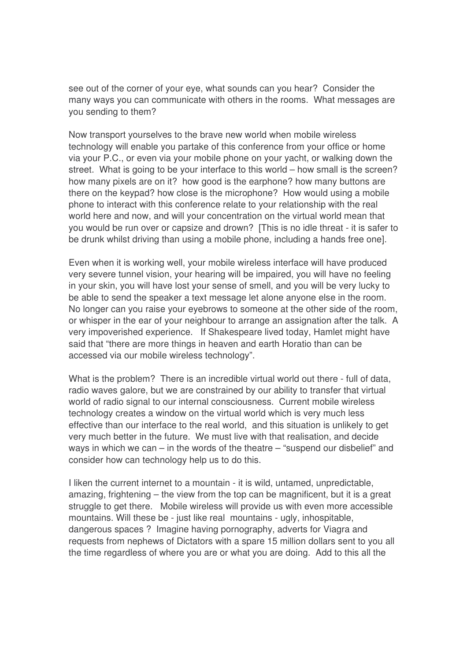see out of the corner of your eye, what sounds can you hear? Consider the many ways you can communicate with others in the rooms. What messages are you sending to them?

Now transport yourselves to the brave new world when mobile wireless technology will enable you partake of this conference from your office or home via your P.C., or even via your mobile phone on your yacht, or walking down the street. What is going to be your interface to this world – how small is the screen? how many pixels are on it? how good is the earphone? how many buttons are there on the keypad? how close is the microphone? How would using a mobile phone to interact with this conference relate to your relationship with the real world here and now, and will your concentration on the virtual world mean that you would be run over or capsize and drown? [This is no idle threat - it is safer to be drunk whilst driving than using a mobile phone, including a hands free one].

Even when it is working well, your mobile wireless interface will have produced very severe tunnel vision, your hearing will be impaired, you will have no feeling in your skin, you will have lost your sense of smell, and you will be very lucky to be able to send the speaker a text message let alone anyone else in the room. No longer can you raise your eyebrows to someone at the other side of the room, or whisper in the ear of your neighbour to arrange an assignation after the talk. A very impoverished experience. If Shakespeare lived today, Hamlet might have said that "there are more things in heaven and earth Horatio than can be accessed via our mobile wireless technology".

What is the problem? There is an incredible virtual world out there - full of data, radio waves galore, but we are constrained by our ability to transfer that virtual world of radio signal to our internal consciousness. Current mobile wireless technology creates a window on the virtual world which is very much less effective than our interface to the real world, and this situation is unlikely to get very much better in the future. We must live with that realisation, and decide ways in which we can – in the words of the theatre – "suspend our disbelief" and consider how can technology help us to do this.

I liken the current internet to a mountain - it is wild, untamed, unpredictable, amazing, frightening  $-$  the view from the top can be magnificent, but it is a great struggle to get there. Mobile wireless will provide us with even more accessible mountains. Will these be - just like real mountains - ugly, inhospitable, dangerous spaces ? Imagine having pornography, adverts for Viagra and requests from nephews of Dictators with a spare 15 million dollars sent to you all the time regardless of where you are or what you are doing. Add to this all the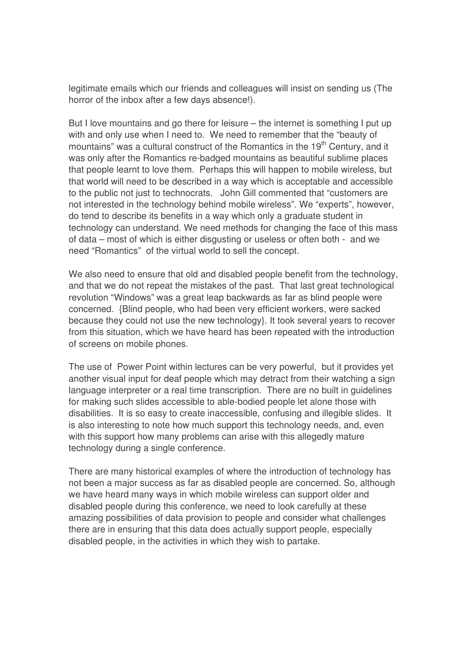legitimate emails which our friends and colleagues will insist on sending us (The horror of the inbox after a few days absence!).

But I love mountains and go there for leisure – the internet is something I put up with and only use when I need to. We need to remember that the "beauty of mountains" was a cultural construct of the Romantics in the 19<sup>th</sup> Century, and it was only after the Romantics re-badged mountains as beautiful sublime places that people learnt to love them. Perhaps this will happen to mobile wireless, but that world will need to be described in a way which is acceptable and accessible to the public not just to technocrats. John Gill commented that "customers are not interested in the technology behind mobile wireless". We "experts", however, do tend to describe its benefits in a way which only a graduate student in technology can understand. We need methods for changing the face of this mass of data – most of which is either disgusting or useless or often both - and we need "Romantics" of the virtual world to sell the concept.

We also need to ensure that old and disabled people benefit from the technology, and that we do not repeat the mistakes of the past. That last great technological revolution "Windows" was a great leap backwards as far as blind people were concerned. {Blind people, who had been very efficient workers, were sacked because they could not use the new technology}. It took several years to recover from this situation, which we have heard has been repeated with the introduction of screens on mobile phones.

The use of Power Point within lectures can be very powerful, but it provides yet another visual input for deaf people which may detract from their watching a sign language interpreter or a real time transcription. There are no built in guidelines for making such slides accessible to able-bodied people let alone those with disabilities. It is so easy to create inaccessible, confusing and illegible slides. It is also interesting to note how much support this technology needs, and, even with this support how many problems can arise with this allegedly mature technology during a single conference.

There are many historical examples of where the introduction of technology has not been a major success as far as disabled people are concerned. So, although we have heard many ways in which mobile wireless can support older and disabled people during this conference, we need to look carefully at these amazing possibilities of data provision to people and consider what challenges there are in ensuring that this data does actually support people, especially disabled people, in the activities in which they wish to partake.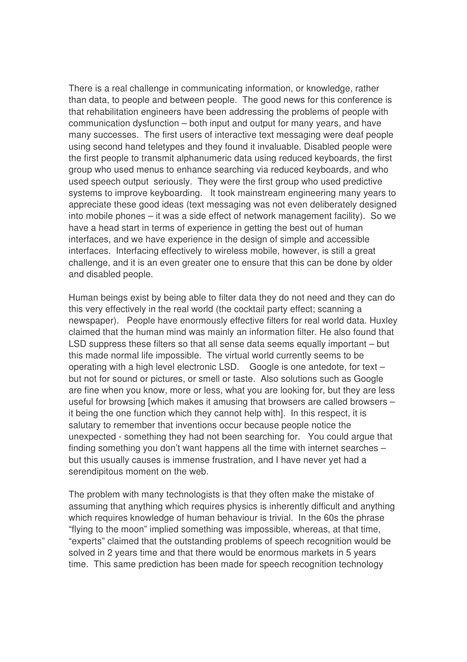There is a real challenge in communicating information, or knowledge, rather than data, to people and between people. The good news for this conference is that rehabilitation engineers have been addressing the problems of people with communication dysfunction – both input and output for many years, and have many successes. The first users of interactive text messaging were deaf people using second hand teletypes and they found it invaluable. Disabled people were the first people to transmit alphanumeric data using reduced keyboards, the first group who used menus to enhance searching via reduced keyboards, and who used speech output seriously. They were the first group who used predictive systems to improve keyboarding. It took mainstream engineering many years to appreciate these good ideas (text messaging was not even deliberately designed into mobile phones – it was a side effect of network management facility). So we have a head start in terms of experience in getting the best out of human interfaces, and we have experience in the design of simple and accessible interfaces. Interfacing effectively to wireless mobile, however, is still a great challenge, and it is an even greater one to ensure that this can be done by older and disabled people.

Human beings exist by being able to filter data they do not need and they can do this very effectively in the real world (the cocktail party effect; scanning a newspaper). People have enormously effective filters for real world data. Huxley claimed that the human mind was mainly an information filter. He also found that LSD suppress these filters so that all sense data seems equally important – but this made normal life impossible. The virtual world currently seems to be operating with a high level electronic LSD. Google is one antedote, for text – but not for sound or pictures, or smell or taste. Also solutions such as Google are fine when you know, more or less, what you are looking for, but they are less useful for browsing [which makes it amusing that browsers are called browsers – it being the one function which they cannot help with]. In this respect, it is salutary to remember that inventions occur because people notice the unexpected - something they had not been searching for. You could argue that finding something you don't want happens all the time with internet searches – but this usually causes is immense frustration, and I have never yet had a serendipitous moment on the web.

The problem with many technologists is that they often make the mistake of assuming that anything which requires physics is inherently difficult and anything which requires knowledge of human behaviour is trivial. In the 60s the phrase "flying to the moon" implied something was impossible, whereas, at that time, "experts" claimed that the outstanding problems of speech recognition would be solved in 2 years time and that there would be enormous markets in 5 years time. This same prediction has been made for speech recognition technology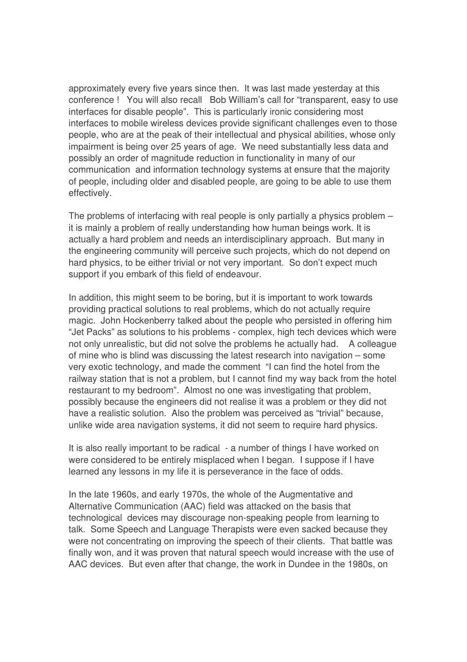approximately every five years since then. It was last made yesterday at this conference ! You will also recall Bob William's call for "transparent, easy to use interfaces for disable people". This is particularly ironic considering most interfaces to mobile wireless devices provide significant challenges even to those people, who are at the peak of their intellectual and physical abilities, whose only impairment is being over 25 years of age. We need substantially less data and possibly an order of magnitude reduction in functionality in many of our communication and information technology systems at ensure that the majority of people, including older and disabled people, are going to be able to use them effectively.

The problems of interfacing with real people is only partially a physics problem – it is mainly a problem of really understanding how human beings work. It is actually a hard problem and needs an interdisciplinary approach. But many in the engineering community will perceive such projects, which do not depend on hard physics, to be either trivial or not very important. So don't expect much support if you embark of this field of endeavour.

In addition, this might seem to be boring, but it is important to work towards providing practical solutions to real problems, which do not actually require magic. John Hockenberry talked about the people who persisted in offering him "Jet Packs" as solutions to his problems - complex, high tech devices which were not only unrealistic, but did not solve the problems he actually had. A colleague of mine who is blind was discussing the latest research into navigation – some very exotic technology, and made the comment "I can find the hotel from the railway station that is not a problem, but I cannot find my way back from the hotel restaurant to my bedroom". Almost no one was investigating that problem, possibly because the engineers did not realise it was a problem or they did not have a realistic solution. Also the problem was perceived as "trivial" because, unlike wide area navigation systems, it did not seem to require hard physics.

It is also really important to be radical - a number of things I have worked on were considered to be entirely misplaced when I began. I suppose if I have learned any lessons in my life it is perseverance in the face of odds.

In the late 1960s, and early 1970s, the whole of the Augmentative and Alternative Communication (AAC) field was attacked on the basis that technological devices may discourage non-speaking people from learning to talk. Some Speech and Language Therapists were even sacked because they were not concentrating on improving the speech of their clients. That battle was finally won, and it was proven that natural speech would increase with the use of AAC devices. But even after that change, the work in Dundee in the 1980s, on